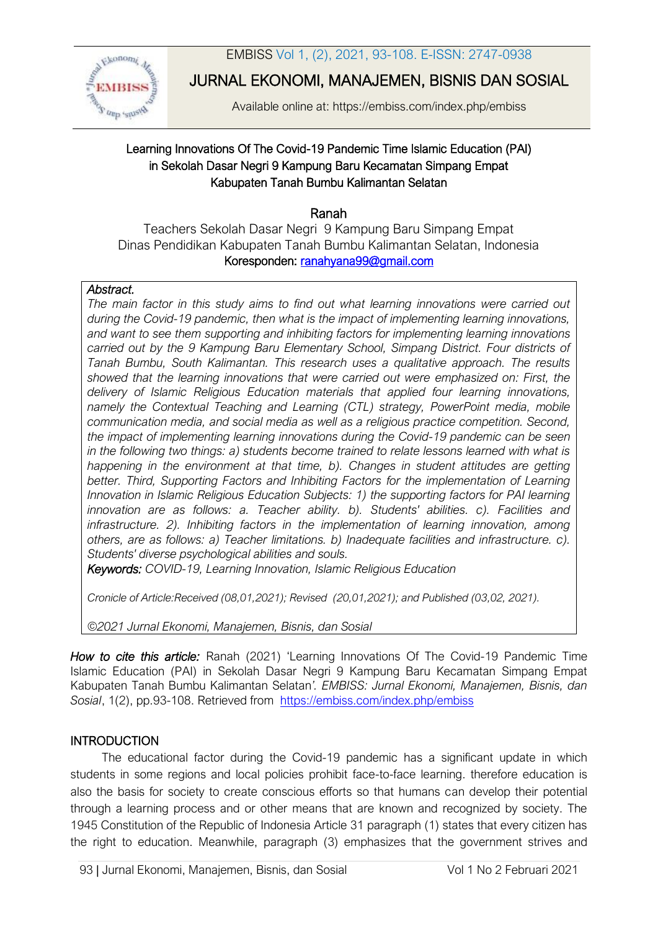EMBISS Vol 1, (2), 2021, 93-108. E-ISSN: 2747-0938



JURNAL EKONOMI, MANAJEMEN, BISNIS DAN SOSIAL

Available online at: https://embiss.com/index.php/embiss

# Learning Innovations Of The Covid-19 Pandemic Time Islamic Education (PAI) in Sekolah Dasar Negri 9 Kampung Baru Kecamatan Simpang Empat Kabupaten Tanah Bumbu Kalimantan Selatan

Ranah

Teachers Sekolah Dasar Negri 9 Kampung Baru Simpang Empat Dinas Pendidikan Kabupaten Tanah Bumbu Kalimantan Selatan, Indonesia Koresponden: [ranahyana99@gmail.com](mailto:abcde@gmail.com)

### *Abstract.*

*The main factor in this study aims to find out what learning innovations were carried out during the Covid-19 pandemic, then what is the impact of implementing learning innovations, and want to see them supporting and inhibiting factors for implementing learning innovations carried out by the 9 Kampung Baru Elementary School, Simpang District. Four districts of Tanah Bumbu, South Kalimantan. This research uses a qualitative approach. The results showed that the learning innovations that were carried out were emphasized on: First, the delivery of Islamic Religious Education materials that applied four learning innovations, namely the Contextual Teaching and Learning (CTL) strategy, PowerPoint media, mobile communication media, and social media as well as a religious practice competition. Second, the impact of implementing learning innovations during the Covid-19 pandemic can be seen in the following two things: a) students become trained to relate lessons learned with what is happening in the environment at that time, b). Changes in student attitudes are getting better. Third, Supporting Factors and Inhibiting Factors for the implementation of Learning Innovation in Islamic Religious Education Subjects: 1) the supporting factors for PAI learning innovation are as follows: a. Teacher ability. b). Students' abilities. c). Facilities and infrastructure. 2). Inhibiting factors in the implementation of learning innovation, among others, are as follows: a) Teacher limitations. b) Inadequate facilities and infrastructure. c). Students' diverse psychological abilities and souls.*

*Keywords: COVID-19, Learning Innovation, Islamic Religious Education*

*Cronicle of Article:Received (08,01,2021); Revised (20,01,2021); and Published (03,02, 2021).* 

*©2021 Jurnal Ekonomi, Manajemen, Bisnis, dan Sosial* 

*How to cite this article:* Ranah(2021) 'Learning Innovations Of The Covid-19 Pandemic Time Islamic Education (PAI) in Sekolah Dasar Negri 9 Kampung Baru Kecamatan Simpang Empat Kabupaten Tanah Bumbu Kalimantan Selatan*'. EMBISS: Jurnal Ekonomi, Manajemen, Bisnis, dan Sosial*, 1(2), pp.93-108. Retrieved from <https://embiss.com/index.php/embiss>

# **INTRODUCTION**

The educational factor during the Covid-19 pandemic has a significant update in which students in some regions and local policies prohibit face-to-face learning. therefore education is also the basis for society to create conscious efforts so that humans can develop their potential through a learning process and or other means that are known and recognized by society. The 1945 Constitution of the Republic of Indonesia Article 31 paragraph (1) states that every citizen has the right to education. Meanwhile, paragraph (3) emphasizes that the government strives and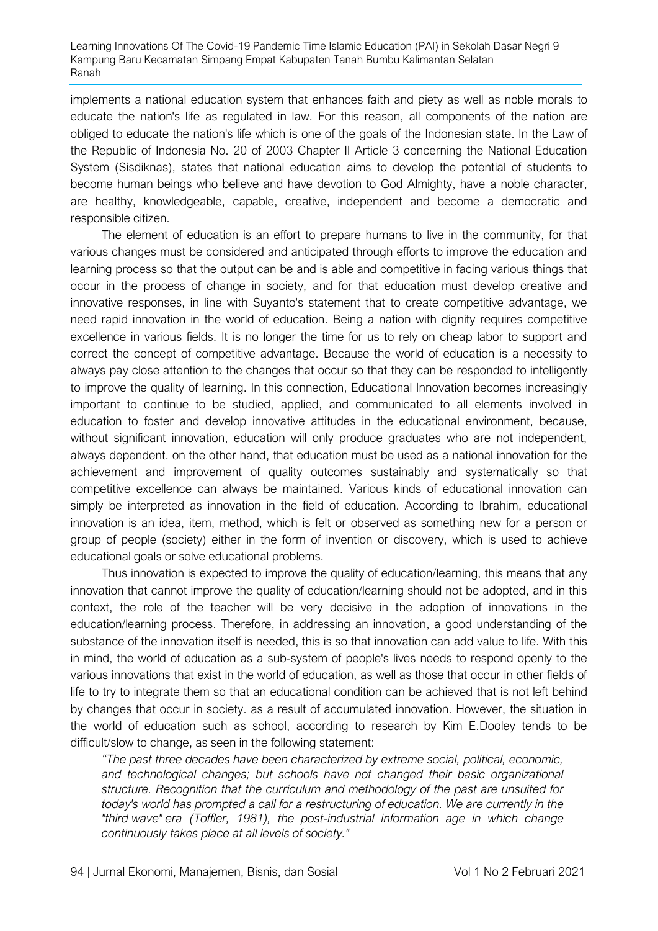implements a national education system that enhances faith and piety as well as noble morals to educate the nation's life as regulated in law. For this reason, all components of the nation are obliged to educate the nation's life which is one of the goals of the Indonesian state. In the Law of the Republic of Indonesia No. 20 of 2003 Chapter II Article 3 concerning the National Education System (Sisdiknas), states that national education aims to develop the potential of students to become human beings who believe and have devotion to God Almighty, have a noble character, are healthy, knowledgeable, capable, creative, independent and become a democratic and responsible citizen.

The element of education is an effort to prepare humans to live in the community, for that various changes must be considered and anticipated through efforts to improve the education and learning process so that the output can be and is able and competitive in facing various things that occur in the process of change in society, and for that education must develop creative and innovative responses, in line with Suyanto's statement that to create competitive advantage, we need rapid innovation in the world of education. Being a nation with dignity requires competitive excellence in various fields. It is no longer the time for us to rely on cheap labor to support and correct the concept of competitive advantage. Because the world of education is a necessity to always pay close attention to the changes that occur so that they can be responded to intelligently to improve the quality of learning. In this connection, Educational Innovation becomes increasingly important to continue to be studied, applied, and communicated to all elements involved in education to foster and develop innovative attitudes in the educational environment, because, without significant innovation, education will only produce graduates who are not independent, always dependent. on the other hand, that education must be used as a national innovation for the achievement and improvement of quality outcomes sustainably and systematically so that competitive excellence can always be maintained. Various kinds of educational innovation can simply be interpreted as innovation in the field of education. According to Ibrahim, educational innovation is an idea, item, method, which is felt or observed as something new for a person or group of people (society) either in the form of invention or discovery, which is used to achieve educational goals or solve educational problems.

Thus innovation is expected to improve the quality of education/learning, this means that any innovation that cannot improve the quality of education/learning should not be adopted, and in this context, the role of the teacher will be very decisive in the adoption of innovations in the education/learning process. Therefore, in addressing an innovation, a good understanding of the substance of the innovation itself is needed, this is so that innovation can add value to life. With this in mind, the world of education as a sub-system of people's lives needs to respond openly to the various innovations that exist in the world of education, as well as those that occur in other fields of life to try to integrate them so that an educational condition can be achieved that is not left behind by changes that occur in society. as a result of accumulated innovation. However, the situation in the world of education such as school, according to research by Kim E.Dooley tends to be difficult/slow to change, as seen in the following statement:

*"The past three decades have been characterized by extreme social, political, economic,*  and technological changes; but schools have not changed their basic organizational *structure. Recognition that the curriculum and methodology of the past are unsuited for today's world has prompted a call for a restructuring of education. We are currently in the "third wave" era (Toffler, 1981), the post-industrial information age in which change continuously takes place at all levels of society."*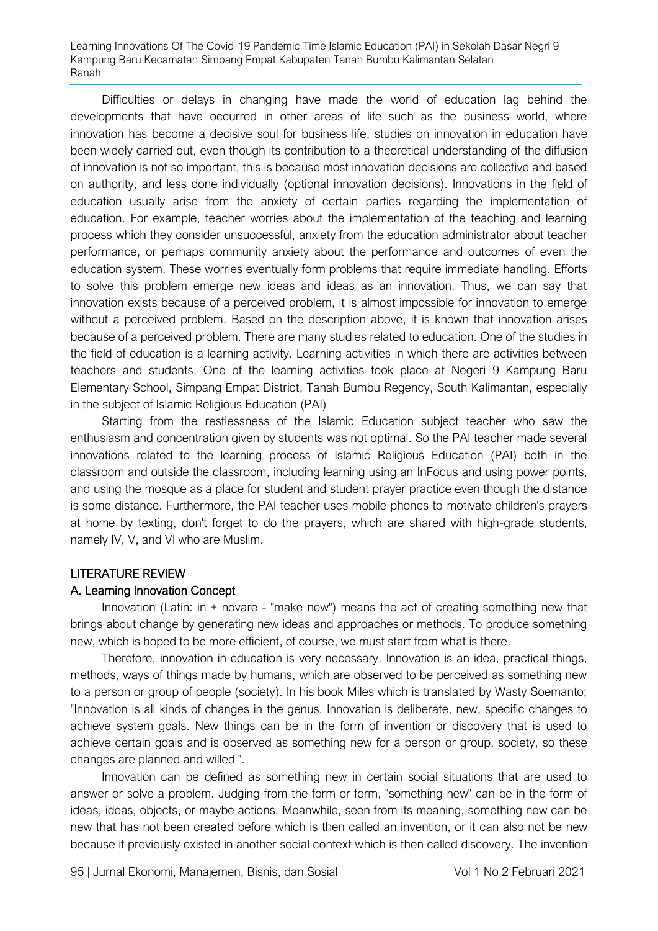Difficulties or delays in changing have made the world of education lag behind the developments that have occurred in other areas of life such as the business world, where innovation has become a decisive soul for business life, studies on innovation in education have been widely carried out, even though its contribution to a theoretical understanding of the diffusion of innovation is not so important, this is because most innovation decisions are collective and based on authority, and less done individually (optional innovation decisions). Innovations in the field of education usually arise from the anxiety of certain parties regarding the implementation of education. For example, teacher worries about the implementation of the teaching and learning process which they consider unsuccessful, anxiety from the education administrator about teacher performance, or perhaps community anxiety about the performance and outcomes of even the education system. These worries eventually form problems that require immediate handling. Efforts to solve this problem emerge new ideas and ideas as an innovation. Thus, we can say that innovation exists because of a perceived problem, it is almost impossible for innovation to emerge without a perceived problem. Based on the description above, it is known that innovation arises because of a perceived problem. There are many studies related to education. One of the studies in the field of education is a learning activity. Learning activities in which there are activities between teachers and students. One of the learning activities took place at Negeri 9 Kampung Baru Elementary School, Simpang Empat District, Tanah Bumbu Regency, South Kalimantan, especially in the subject of Islamic Religious Education (PAI)

Starting from the restlessness of the Islamic Education subject teacher who saw the enthusiasm and concentration given by students was not optimal. So the PAI teacher made several innovations related to the learning process of Islamic Religious Education (PAI) both in the classroom and outside the classroom, including learning using an InFocus and using power points, and using the mosque as a place for student and student prayer practice even though the distance is some distance. Furthermore, the PAI teacher uses mobile phones to motivate children's prayers at home by texting, don't forget to do the prayers, which are shared with high-grade students, namely IV, V, and VI who are Muslim.

# LITERATURE REVIEW

#### A. Learning Innovation Concept

Innovation (Latin: in + novare - "make new") means the act of creating something new that brings about change by generating new ideas and approaches or methods. To produce something new, which is hoped to be more efficient, of course, we must start from what is there.

Therefore, innovation in education is very necessary. Innovation is an idea, practical things, methods, ways of things made by humans, which are observed to be perceived as something new to a person or group of people (society). In his book Miles which is translated by Wasty Soemanto; "Innovation is all kinds of changes in the genus. Innovation is deliberate, new, specific changes to achieve system goals. New things can be in the form of invention or discovery that is used to achieve certain goals and is observed as something new for a person or group. society, so these changes are planned and willed ".

Innovation can be defined as something new in certain social situations that are used to answer or solve a problem. Judging from the form or form, "something new" can be in the form of ideas, ideas, objects, or maybe actions. Meanwhile, seen from its meaning, something new can be new that has not been created before which is then called an invention, or it can also not be new because it previously existed in another social context which is then called discovery. The invention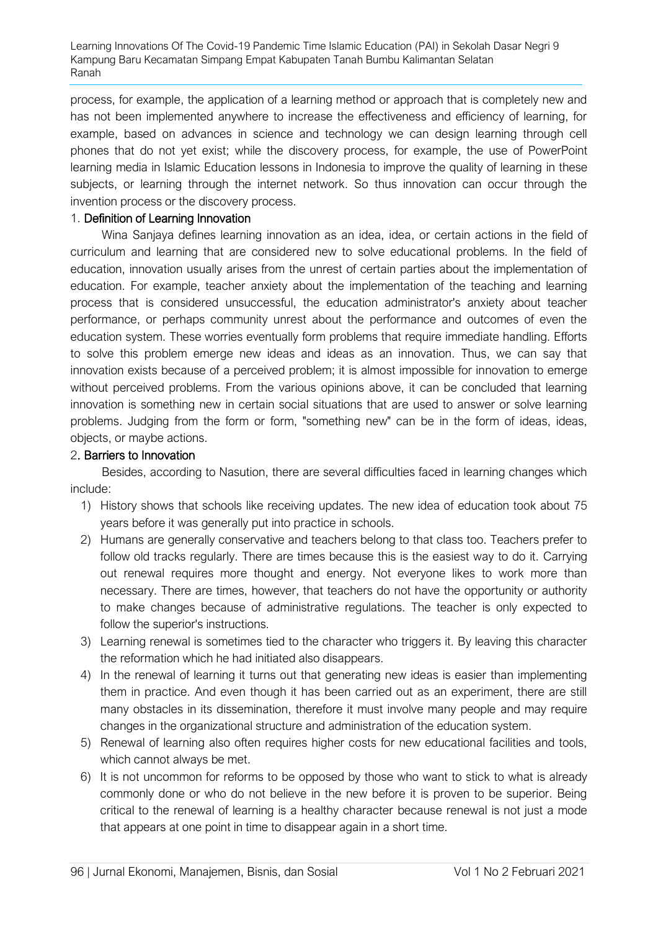process, for example, the application of a learning method or approach that is completely new and has not been implemented anywhere to increase the effectiveness and efficiency of learning, for example, based on advances in science and technology we can design learning through cell phones that do not yet exist; while the discovery process, for example, the use of PowerPoint learning media in Islamic Education lessons in Indonesia to improve the quality of learning in these subjects, or learning through the internet network. So thus innovation can occur through the invention process or the discovery process.

### 1. Definition of Learning Innovation

Wina Sanjaya defines learning innovation as an idea, idea, or certain actions in the field of curriculum and learning that are considered new to solve educational problems. In the field of education, innovation usually arises from the unrest of certain parties about the implementation of education. For example, teacher anxiety about the implementation of the teaching and learning process that is considered unsuccessful, the education administrator's anxiety about teacher performance, or perhaps community unrest about the performance and outcomes of even the education system. These worries eventually form problems that require immediate handling. Efforts to solve this problem emerge new ideas and ideas as an innovation. Thus, we can say that innovation exists because of a perceived problem; it is almost impossible for innovation to emerge without perceived problems. From the various opinions above, it can be concluded that learning innovation is something new in certain social situations that are used to answer or solve learning problems. Judging from the form or form, "something new" can be in the form of ideas, ideas, objects, or maybe actions.

### 2. Barriers to Innovation

Besides, according to Nasution, there are several difficulties faced in learning changes which include:

- 1) History shows that schools like receiving updates. The new idea of education took about 75 years before it was generally put into practice in schools.
- 2) Humans are generally conservative and teachers belong to that class too. Teachers prefer to follow old tracks regularly. There are times because this is the easiest way to do it. Carrying out renewal requires more thought and energy. Not everyone likes to work more than necessary. There are times, however, that teachers do not have the opportunity or authority to make changes because of administrative regulations. The teacher is only expected to follow the superior's instructions.
- 3) Learning renewal is sometimes tied to the character who triggers it. By leaving this character the reformation which he had initiated also disappears.
- 4) In the renewal of learning it turns out that generating new ideas is easier than implementing them in practice. And even though it has been carried out as an experiment, there are still many obstacles in its dissemination, therefore it must involve many people and may require changes in the organizational structure and administration of the education system.
- 5) Renewal of learning also often requires higher costs for new educational facilities and tools, which cannot always be met.
- 6) It is not uncommon for reforms to be opposed by those who want to stick to what is already commonly done or who do not believe in the new before it is proven to be superior. Being critical to the renewal of learning is a healthy character because renewal is not just a mode that appears at one point in time to disappear again in a short time.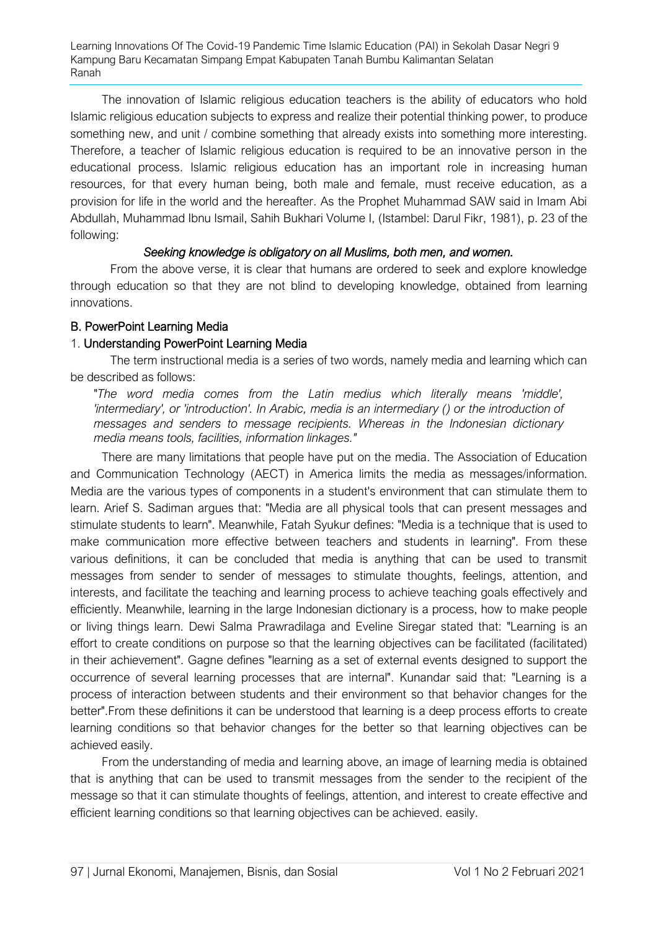The innovation of Islamic religious education teachers is the ability of educators who hold Islamic religious education subjects to express and realize their potential thinking power, to produce something new, and unit / combine something that already exists into something more interesting. Therefore, a teacher of Islamic religious education is required to be an innovative person in the educational process. Islamic religious education has an important role in increasing human resources, for that every human being, both male and female, must receive education, as a provision for life in the world and the hereafter. As the Prophet Muhammad SAW said in Imam Abi Abdullah, Muhammad Ibnu Ismail, Sahih Bukhari Volume I, (Istambel: Darul Fikr, 1981), p. 23 of the following:

### *Seeking knowledge is obligatory on all Muslims, both men, and women.*

From the above verse, it is clear that humans are ordered to seek and explore knowledge through education so that they are not blind to developing knowledge, obtained from learning innovations.

### B. PowerPoint Learning Media

### 1. Understanding PowerPoint Learning Media

The term instructional media is a series of two words, namely media and learning which can be described as follows:

"*The word media comes from the Latin medius which literally means 'middle', 'intermediary', or 'introduction'. In Arabic, media is an intermediary () or the introduction of messages and senders to message recipients. Whereas in the Indonesian dictionary media means tools, facilities, information linkages."*

There are many limitations that people have put on the media. The Association of Education and Communication Technology (AECT) in America limits the media as messages/information. Media are the various types of components in a student's environment that can stimulate them to learn. Arief S. Sadiman argues that: "Media are all physical tools that can present messages and stimulate students to learn". Meanwhile, Fatah Syukur defines: "Media is a technique that is used to make communication more effective between teachers and students in learning". From these various definitions, it can be concluded that media is anything that can be used to transmit messages from sender to sender of messages to stimulate thoughts, feelings, attention, and interests, and facilitate the teaching and learning process to achieve teaching goals effectively and efficiently. Meanwhile, learning in the large Indonesian dictionary is a process, how to make people or living things learn. Dewi Salma Prawradilaga and Eveline Siregar stated that: "Learning is an effort to create conditions on purpose so that the learning objectives can be facilitated (facilitated) in their achievement". Gagne defines "learning as a set of external events designed to support the occurrence of several learning processes that are internal". Kunandar said that: "Learning is a process of interaction between students and their environment so that behavior changes for the better".From these definitions it can be understood that learning is a deep process efforts to create learning conditions so that behavior changes for the better so that learning objectives can be achieved easily.

From the understanding of media and learning above, an image of learning media is obtained that is anything that can be used to transmit messages from the sender to the recipient of the message so that it can stimulate thoughts of feelings, attention, and interest to create effective and efficient learning conditions so that learning objectives can be achieved. easily.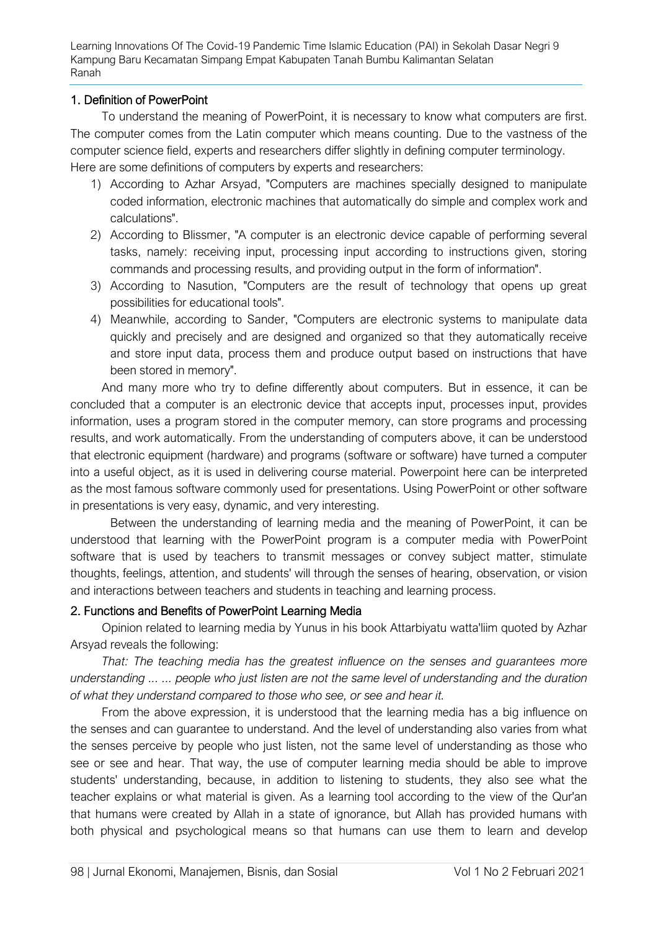### 1. Definition of PowerPoint

To understand the meaning of PowerPoint, it is necessary to know what computers are first. The computer comes from the Latin computer which means counting. Due to the vastness of the computer science field, experts and researchers differ slightly in defining computer terminology. Here are some definitions of computers by experts and researchers:

- 1) According to Azhar Arsyad, "Computers are machines specially designed to manipulate coded information, electronic machines that automatically do simple and complex work and calculations".
- 2) According to Blissmer, "A computer is an electronic device capable of performing several tasks, namely: receiving input, processing input according to instructions given, storing commands and processing results, and providing output in the form of information".
- 3) According to Nasution, "Computers are the result of technology that opens up great possibilities for educational tools".
- 4) Meanwhile, according to Sander, "Computers are electronic systems to manipulate data quickly and precisely and are designed and organized so that they automatically receive and store input data, process them and produce output based on instructions that have been stored in memory".

And many more who try to define differently about computers. But in essence, it can be concluded that a computer is an electronic device that accepts input, processes input, provides information, uses a program stored in the computer memory, can store programs and processing results, and work automatically. From the understanding of computers above, it can be understood that electronic equipment (hardware) and programs (software or software) have turned a computer into a useful object, as it is used in delivering course material. Powerpoint here can be interpreted as the most famous software commonly used for presentations. Using PowerPoint or other software in presentations is very easy, dynamic, and very interesting.

Between the understanding of learning media and the meaning of PowerPoint, it can be understood that learning with the PowerPoint program is a computer media with PowerPoint software that is used by teachers to transmit messages or convey subject matter, stimulate thoughts, feelings, attention, and students' will through the senses of hearing, observation, or vision and interactions between teachers and students in teaching and learning process.

#### 2. Functions and Benefits of PowerPoint Learning Media

Opinion related to learning media by Yunus in his book Attarbiyatu watta'liim quoted by Azhar Arsyad reveals the following:

*That: The teaching media has the greatest influence on the senses and guarantees more understanding ... ... people who just listen are not the same level of understanding and the duration of what they understand compared to those who see, or see and hear it.*

From the above expression, it is understood that the learning media has a big influence on the senses and can guarantee to understand. And the level of understanding also varies from what the senses perceive by people who just listen, not the same level of understanding as those who see or see and hear. That way, the use of computer learning media should be able to improve students' understanding, because, in addition to listening to students, they also see what the teacher explains or what material is given. As a learning tool according to the view of the Qur'an that humans were created by Allah in a state of ignorance, but Allah has provided humans with both physical and psychological means so that humans can use them to learn and develop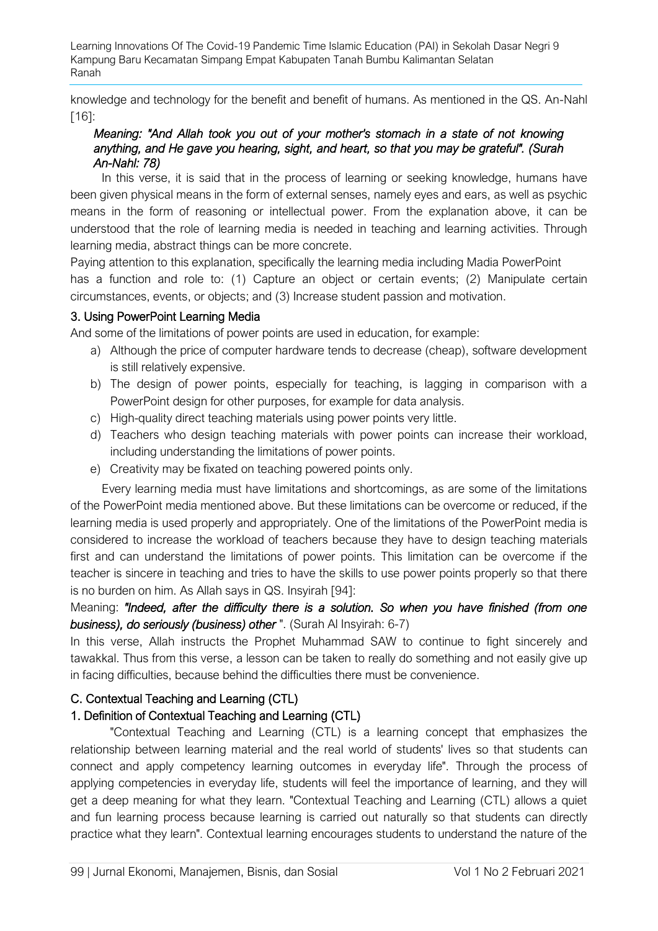knowledge and technology for the benefit and benefit of humans. As mentioned in the QS. An-Nahl [16]:

# *Meaning: "And Allah took you out of your mother's stomach in a state of not knowing anything, and He gave you hearing, sight, and heart, so that you may be grateful". (Surah An-Nahl: 78)*

In this verse, it is said that in the process of learning or seeking knowledge, humans have been given physical means in the form of external senses, namely eyes and ears, as well as psychic means in the form of reasoning or intellectual power. From the explanation above, it can be understood that the role of learning media is needed in teaching and learning activities. Through learning media, abstract things can be more concrete.

Paying attention to this explanation, specifically the learning media including Madia PowerPoint has a function and role to: (1) Capture an object or certain events; (2) Manipulate certain circumstances, events, or objects; and (3) Increase student passion and motivation.

# 3. Using PowerPoint Learning Media

And some of the limitations of power points are used in education, for example:

- a) Although the price of computer hardware tends to decrease (cheap), software development is still relatively expensive.
- b) The design of power points, especially for teaching, is lagging in comparison with a PowerPoint design for other purposes, for example for data analysis.
- c) High-quality direct teaching materials using power points very little.
- d) Teachers who design teaching materials with power points can increase their workload, including understanding the limitations of power points.
- e) Creativity may be fixated on teaching powered points only.

Every learning media must have limitations and shortcomings, as are some of the limitations of the PowerPoint media mentioned above. But these limitations can be overcome or reduced, if the learning media is used properly and appropriately. One of the limitations of the PowerPoint media is considered to increase the workload of teachers because they have to design teaching materials first and can understand the limitations of power points. This limitation can be overcome if the teacher is sincere in teaching and tries to have the skills to use power points properly so that there is no burden on him. As Allah says in QS. Insyirah [94]:

Meaning: *"Indeed, after the difficulty there is a solution. So when you have finished (from one business), do seriously (business) other* ". (Surah Al Insyirah: 6-7)

In this verse, Allah instructs the Prophet Muhammad SAW to continue to fight sincerely and tawakkal. Thus from this verse, a lesson can be taken to really do something and not easily give up in facing difficulties, because behind the difficulties there must be convenience.

# C. Contextual Teaching and Learning (CTL)

# 1. Definition of Contextual Teaching and Learning (CTL)

"Contextual Teaching and Learning (CTL) is a learning concept that emphasizes the relationship between learning material and the real world of students' lives so that students can connect and apply competency learning outcomes in everyday life". Through the process of applying competencies in everyday life, students will feel the importance of learning, and they will get a deep meaning for what they learn. "Contextual Teaching and Learning (CTL) allows a quiet and fun learning process because learning is carried out naturally so that students can directly practice what they learn". Contextual learning encourages students to understand the nature of the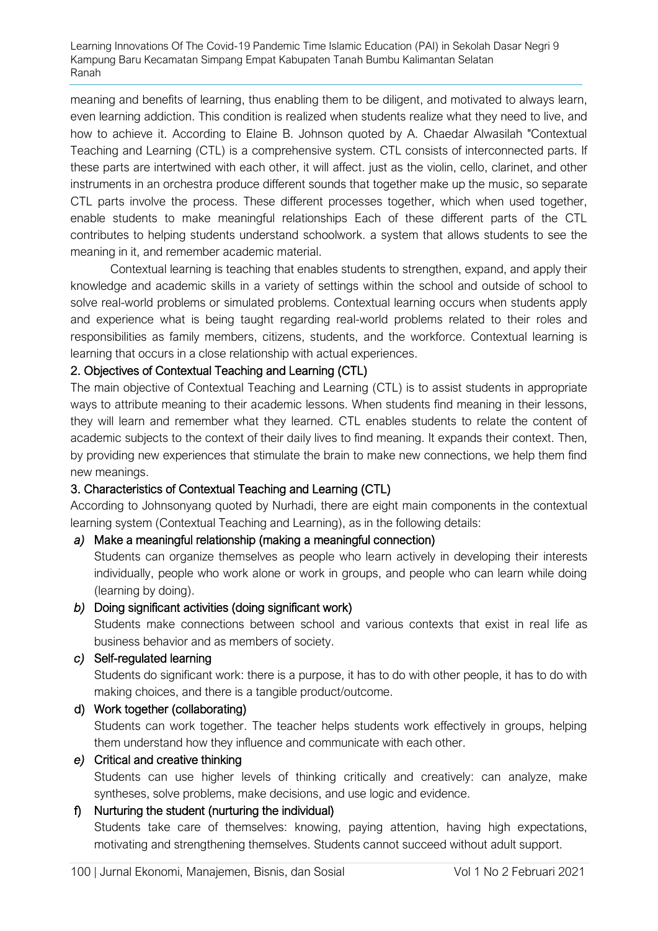meaning and benefits of learning, thus enabling them to be diligent, and motivated to always learn, even learning addiction. This condition is realized when students realize what they need to live, and how to achieve it. According to Elaine B. Johnson quoted by A. Chaedar Alwasilah "Contextual Teaching and Learning (CTL) is a comprehensive system. CTL consists of interconnected parts. If these parts are intertwined with each other, it will affect. just as the violin, cello, clarinet, and other instruments in an orchestra produce different sounds that together make up the music, so separate CTL parts involve the process. These different processes together, which when used together, enable students to make meaningful relationships Each of these different parts of the CTL contributes to helping students understand schoolwork. a system that allows students to see the meaning in it, and remember academic material.

Contextual learning is teaching that enables students to strengthen, expand, and apply their knowledge and academic skills in a variety of settings within the school and outside of school to solve real-world problems or simulated problems. Contextual learning occurs when students apply and experience what is being taught regarding real-world problems related to their roles and responsibilities as family members, citizens, students, and the workforce. Contextual learning is learning that occurs in a close relationship with actual experiences.

# 2. Objectives of Contextual Teaching and Learning (CTL)

The main objective of Contextual Teaching and Learning (CTL) is to assist students in appropriate ways to attribute meaning to their academic lessons. When students find meaning in their lessons, they will learn and remember what they learned. CTL enables students to relate the content of academic subjects to the context of their daily lives to find meaning. It expands their context. Then, by providing new experiences that stimulate the brain to make new connections, we help them find new meanings.

# 3. Characteristics of Contextual Teaching and Learning (CTL)

According to Johnsonyang quoted by Nurhadi, there are eight main components in the contextual learning system (Contextual Teaching and Learning), as in the following details:

# *a)* Make a meaningful relationship (making a meaningful connection)

Students can organize themselves as people who learn actively in developing their interests individually, people who work alone or work in groups, and people who can learn while doing (learning by doing).

# *b)* Doing significant activities (doing significant work)

Students make connections between school and various contexts that exist in real life as business behavior and as members of society.

# *c)* Self-regulated learning

Students do significant work: there is a purpose, it has to do with other people, it has to do with making choices, and there is a tangible product/outcome.

# d) Work together (collaborating)

Students can work together. The teacher helps students work effectively in groups, helping them understand how they influence and communicate with each other.

# *e)* Critical and creative thinking

Students can use higher levels of thinking critically and creatively: can analyze, make syntheses, solve problems, make decisions, and use logic and evidence.

# f) Nurturing the student (nurturing the individual)

Students take care of themselves: knowing, paying attention, having high expectations, motivating and strengthening themselves. Students cannot succeed without adult support.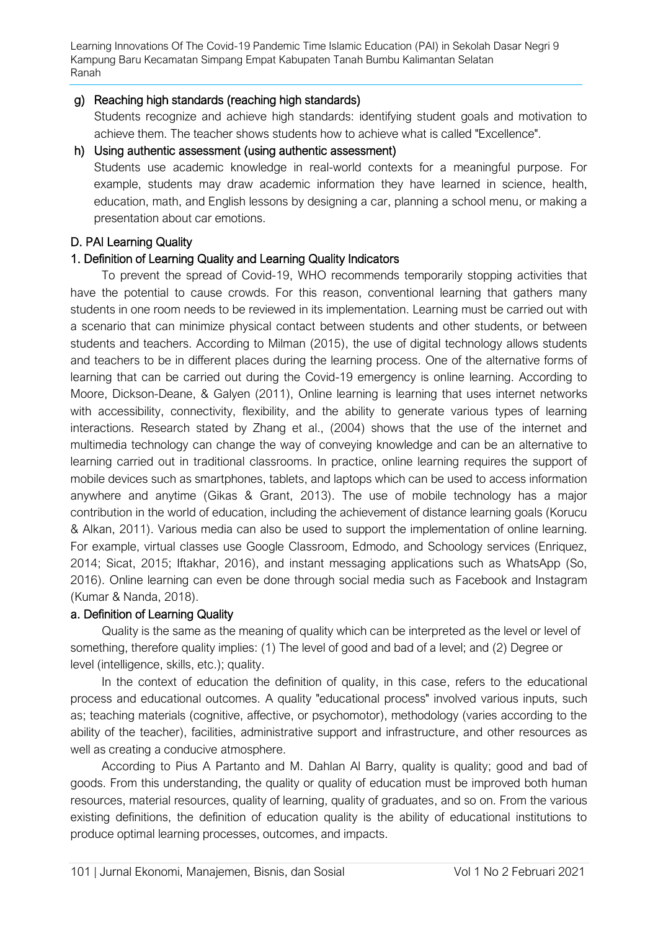# g) Reaching high standards (reaching high standards)

Students recognize and achieve high standards: identifying student goals and motivation to achieve them. The teacher shows students how to achieve what is called "Excellence".

# h) Using authentic assessment (using authentic assessment)

Students use academic knowledge in real-world contexts for a meaningful purpose. For example, students may draw academic information they have learned in science, health, education, math, and English lessons by designing a car, planning a school menu, or making a presentation about car emotions.

# D. PAI Learning Quality

# 1. Definition of Learning Quality and Learning Quality Indicators

To prevent the spread of Covid-19, WHO recommends temporarily stopping activities that have the potential to cause crowds. For this reason, conventional learning that gathers many students in one room needs to be reviewed in its implementation. Learning must be carried out with a scenario that can minimize physical contact between students and other students, or between students and teachers. According to Milman (2015), the use of digital technology allows students and teachers to be in different places during the learning process. One of the alternative forms of learning that can be carried out during the Covid-19 emergency is online learning. According to Moore, Dickson-Deane, & Galyen (2011), Online learning is learning that uses internet networks with accessibility, connectivity, flexibility, and the ability to generate various types of learning interactions. Research stated by Zhang et al., (2004) shows that the use of the internet and multimedia technology can change the way of conveying knowledge and can be an alternative to learning carried out in traditional classrooms. In practice, online learning requires the support of mobile devices such as smartphones, tablets, and laptops which can be used to access information anywhere and anytime (Gikas & Grant, 2013). The use of mobile technology has a major contribution in the world of education, including the achievement of distance learning goals (Korucu & Alkan, 2011). Various media can also be used to support the implementation of online learning. For example, virtual classes use Google Classroom, Edmodo, and Schoology services (Enriquez, 2014; Sicat, 2015; Iftakhar, 2016), and instant messaging applications such as WhatsApp (So, 2016). Online learning can even be done through social media such as Facebook and Instagram (Kumar & Nanda, 2018).

# a. Definition of Learning Quality

Quality is the same as the meaning of quality which can be interpreted as the level or level of something, therefore quality implies: (1) The level of good and bad of a level; and (2) Degree or level (intelligence, skills, etc.); quality.

In the context of education the definition of quality, in this case, refers to the educational process and educational outcomes. A quality "educational process" involved various inputs, such as; teaching materials (cognitive, affective, or psychomotor), methodology (varies according to the ability of the teacher), facilities, administrative support and infrastructure, and other resources as well as creating a conducive atmosphere.

According to Pius A Partanto and M. Dahlan Al Barry, quality is quality; good and bad of goods. From this understanding, the quality or quality of education must be improved both human resources, material resources, quality of learning, quality of graduates, and so on. From the various existing definitions, the definition of education quality is the ability of educational institutions to produce optimal learning processes, outcomes, and impacts.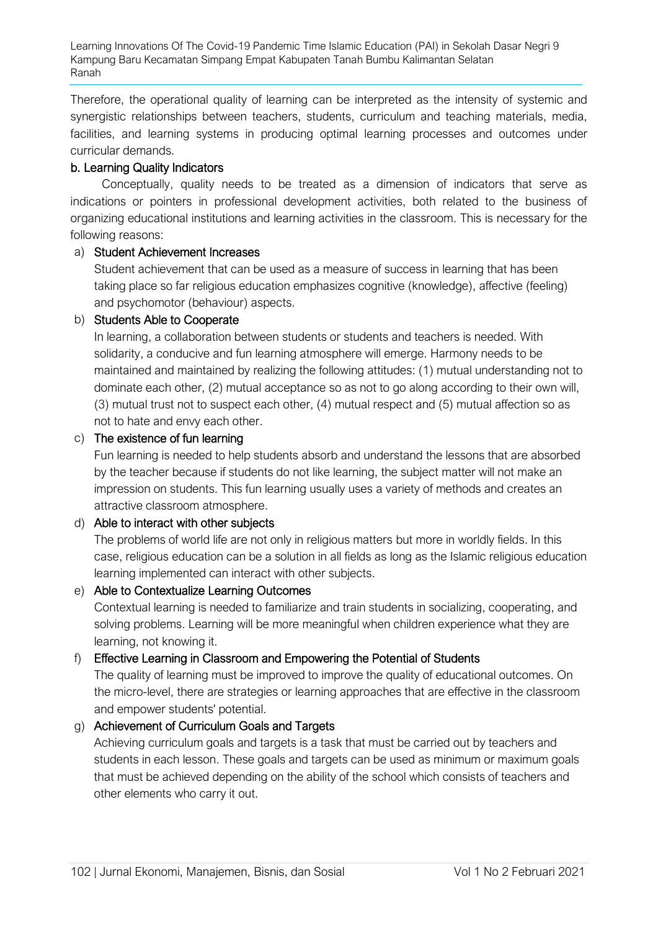Therefore, the operational quality of learning can be interpreted as the intensity of systemic and synergistic relationships between teachers, students, curriculum and teaching materials, media, facilities, and learning systems in producing optimal learning processes and outcomes under curricular demands.

### b. Learning Quality Indicators

Conceptually, quality needs to be treated as a dimension of indicators that serve as indications or pointers in professional development activities, both related to the business of organizing educational institutions and learning activities in the classroom. This is necessary for the following reasons:

### a) Student Achievement Increases

Student achievement that can be used as a measure of success in learning that has been taking place so far religious education emphasizes cognitive (knowledge), affective (feeling) and psychomotor (behaviour) aspects.

### b) Students Able to Cooperate

In learning, a collaboration between students or students and teachers is needed. With solidarity, a conducive and fun learning atmosphere will emerge. Harmony needs to be maintained and maintained by realizing the following attitudes: (1) mutual understanding not to dominate each other, (2) mutual acceptance so as not to go along according to their own will, (3) mutual trust not to suspect each other, (4) mutual respect and (5) mutual affection so as not to hate and envy each other.

### c) The existence of fun learning

Fun learning is needed to help students absorb and understand the lessons that are absorbed by the teacher because if students do not like learning, the subject matter will not make an impression on students. This fun learning usually uses a variety of methods and creates an attractive classroom atmosphere.

# d) Able to interact with other subjects

The problems of world life are not only in religious matters but more in worldly fields. In this case, religious education can be a solution in all fields as long as the Islamic religious education learning implemented can interact with other subjects.

# e) Able to Contextualize Learning Outcomes

Contextual learning is needed to familiarize and train students in socializing, cooperating, and solving problems. Learning will be more meaningful when children experience what they are learning, not knowing it.

# f) Effective Learning in Classroom and Empowering the Potential of Students

The quality of learning must be improved to improve the quality of educational outcomes. On the micro-level, there are strategies or learning approaches that are effective in the classroom and empower students' potential.

# g) Achievement of Curriculum Goals and Targets

Achieving curriculum goals and targets is a task that must be carried out by teachers and students in each lesson. These goals and targets can be used as minimum or maximum goals that must be achieved depending on the ability of the school which consists of teachers and other elements who carry it out.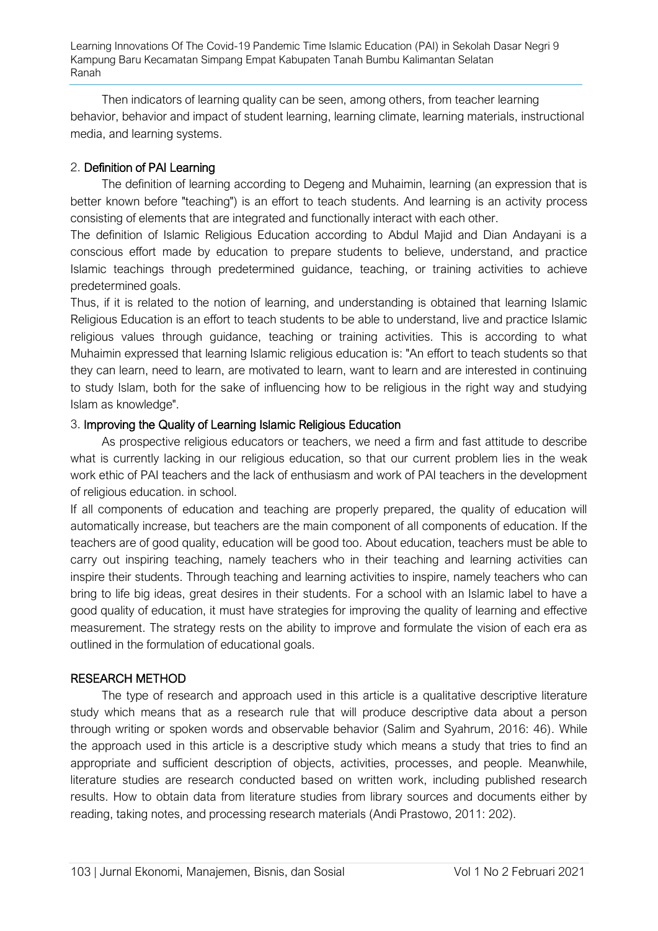Then indicators of learning quality can be seen, among others, from teacher learning behavior, behavior and impact of student learning, learning climate, learning materials, instructional media, and learning systems.

# 2. Definition of PAI Learning

The definition of learning according to Degeng and Muhaimin, learning (an expression that is better known before "teaching") is an effort to teach students. And learning is an activity process consisting of elements that are integrated and functionally interact with each other.

The definition of Islamic Religious Education according to Abdul Majid and Dian Andayani is a conscious effort made by education to prepare students to believe, understand, and practice Islamic teachings through predetermined guidance, teaching, or training activities to achieve predetermined goals.

Thus, if it is related to the notion of learning, and understanding is obtained that learning Islamic Religious Education is an effort to teach students to be able to understand, live and practice Islamic religious values through guidance, teaching or training activities. This is according to what Muhaimin expressed that learning Islamic religious education is: "An effort to teach students so that they can learn, need to learn, are motivated to learn, want to learn and are interested in continuing to study Islam, both for the sake of influencing how to be religious in the right way and studying Islam as knowledge".

# 3. Improving the Quality of Learning Islamic Religious Education

As prospective religious educators or teachers, we need a firm and fast attitude to describe what is currently lacking in our religious education, so that our current problem lies in the weak work ethic of PAI teachers and the lack of enthusiasm and work of PAI teachers in the development of religious education. in school.

If all components of education and teaching are properly prepared, the quality of education will automatically increase, but teachers are the main component of all components of education. If the teachers are of good quality, education will be good too. About education, teachers must be able to carry out inspiring teaching, namely teachers who in their teaching and learning activities can inspire their students. Through teaching and learning activities to inspire, namely teachers who can bring to life big ideas, great desires in their students. For a school with an Islamic label to have a good quality of education, it must have strategies for improving the quality of learning and effective measurement. The strategy rests on the ability to improve and formulate the vision of each era as outlined in the formulation of educational goals.

# RESEARCH METHOD

The type of research and approach used in this article is a qualitative descriptive literature study which means that as a research rule that will produce descriptive data about a person through writing or spoken words and observable behavior (Salim and Syahrum, 2016: 46). While the approach used in this article is a descriptive study which means a study that tries to find an appropriate and sufficient description of objects, activities, processes, and people. Meanwhile, literature studies are research conducted based on written work, including published research results. How to obtain data from literature studies from library sources and documents either by reading, taking notes, and processing research materials (Andi Prastowo, 2011: 202).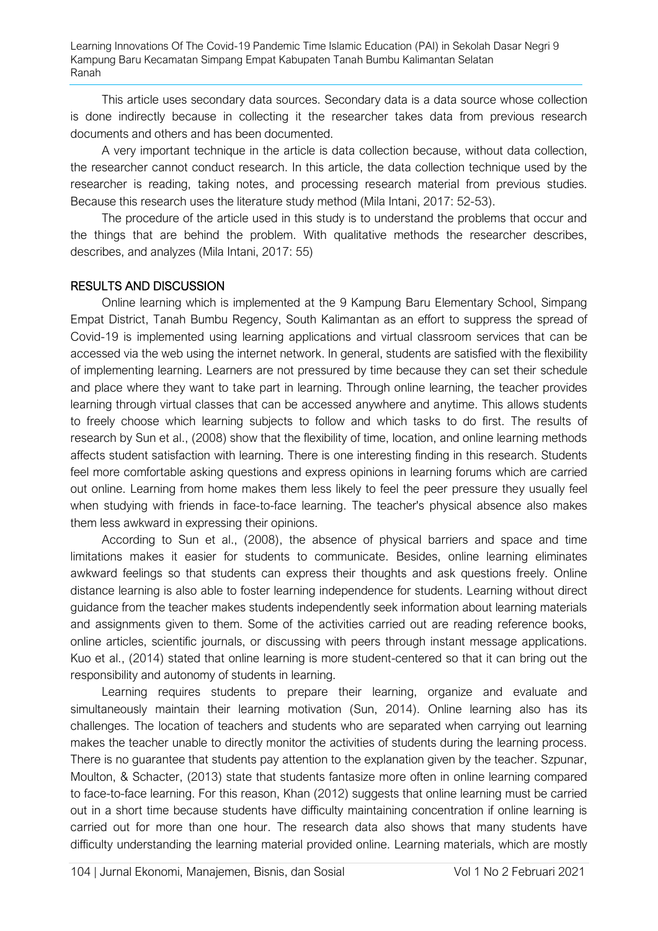This article uses secondary data sources. Secondary data is a data source whose collection is done indirectly because in collecting it the researcher takes data from previous research documents and others and has been documented.

A very important technique in the article is data collection because, without data collection, the researcher cannot conduct research. In this article, the data collection technique used by the researcher is reading, taking notes, and processing research material from previous studies. Because this research uses the literature study method (Mila Intani, 2017: 52-53).

The procedure of the article used in this study is to understand the problems that occur and the things that are behind the problem. With qualitative methods the researcher describes, describes, and analyzes (Mila Intani, 2017: 55)

### RESULTS AND DISCUSSION

Online learning which is implemented at the 9 Kampung Baru Elementary School, Simpang Empat District, Tanah Bumbu Regency, South Kalimantan as an effort to suppress the spread of Covid-19 is implemented using learning applications and virtual classroom services that can be accessed via the web using the internet network. In general, students are satisfied with the flexibility of implementing learning. Learners are not pressured by time because they can set their schedule and place where they want to take part in learning. Through online learning, the teacher provides learning through virtual classes that can be accessed anywhere and anytime. This allows students to freely choose which learning subjects to follow and which tasks to do first. The results of research by Sun et al., (2008) show that the flexibility of time, location, and online learning methods affects student satisfaction with learning. There is one interesting finding in this research. Students feel more comfortable asking questions and express opinions in learning forums which are carried out online. Learning from home makes them less likely to feel the peer pressure they usually feel when studying with friends in face-to-face learning. The teacher's physical absence also makes them less awkward in expressing their opinions.

According to Sun et al., (2008), the absence of physical barriers and space and time limitations makes it easier for students to communicate. Besides, online learning eliminates awkward feelings so that students can express their thoughts and ask questions freely. Online distance learning is also able to foster learning independence for students. Learning without direct guidance from the teacher makes students independently seek information about learning materials and assignments given to them. Some of the activities carried out are reading reference books, online articles, scientific journals, or discussing with peers through instant message applications. Kuo et al., (2014) stated that online learning is more student-centered so that it can bring out the responsibility and autonomy of students in learning.

Learning requires students to prepare their learning, organize and evaluate and simultaneously maintain their learning motivation (Sun, 2014). Online learning also has its challenges. The location of teachers and students who are separated when carrying out learning makes the teacher unable to directly monitor the activities of students during the learning process. There is no guarantee that students pay attention to the explanation given by the teacher. Szpunar, Moulton, & Schacter, (2013) state that students fantasize more often in online learning compared to face-to-face learning. For this reason, Khan (2012) suggests that online learning must be carried out in a short time because students have difficulty maintaining concentration if online learning is carried out for more than one hour. The research data also shows that many students have difficulty understanding the learning material provided online. Learning materials, which are mostly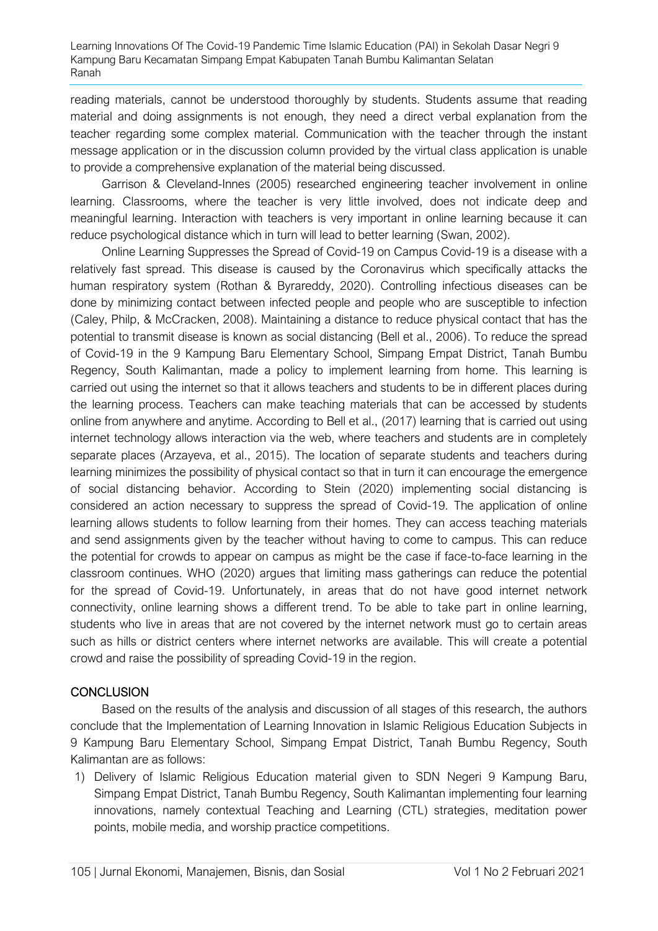reading materials, cannot be understood thoroughly by students. Students assume that reading material and doing assignments is not enough, they need a direct verbal explanation from the teacher regarding some complex material. Communication with the teacher through the instant message application or in the discussion column provided by the virtual class application is unable to provide a comprehensive explanation of the material being discussed.

Garrison & Cleveland-Innes (2005) researched engineering teacher involvement in online learning. Classrooms, where the teacher is very little involved, does not indicate deep and meaningful learning. Interaction with teachers is very important in online learning because it can reduce psychological distance which in turn will lead to better learning (Swan, 2002).

Online Learning Suppresses the Spread of Covid-19 on Campus Covid-19 is a disease with a relatively fast spread. This disease is caused by the Coronavirus which specifically attacks the human respiratory system (Rothan & Byrareddy, 2020). Controlling infectious diseases can be done by minimizing contact between infected people and people who are susceptible to infection (Caley, Philp, & McCracken, 2008). Maintaining a distance to reduce physical contact that has the potential to transmit disease is known as social distancing (Bell et al., 2006). To reduce the spread of Covid-19 in the 9 Kampung Baru Elementary School, Simpang Empat District, Tanah Bumbu Regency, South Kalimantan, made a policy to implement learning from home. This learning is carried out using the internet so that it allows teachers and students to be in different places during the learning process. Teachers can make teaching materials that can be accessed by students online from anywhere and anytime. According to Bell et al., (2017) learning that is carried out using internet technology allows interaction via the web, where teachers and students are in completely separate places (Arzayeva, et al., 2015). The location of separate students and teachers during learning minimizes the possibility of physical contact so that in turn it can encourage the emergence of social distancing behavior. According to Stein (2020) implementing social distancing is considered an action necessary to suppress the spread of Covid-19. The application of online learning allows students to follow learning from their homes. They can access teaching materials and send assignments given by the teacher without having to come to campus. This can reduce the potential for crowds to appear on campus as might be the case if face-to-face learning in the classroom continues. WHO (2020) argues that limiting mass gatherings can reduce the potential for the spread of Covid-19. Unfortunately, in areas that do not have good internet network connectivity, online learning shows a different trend. To be able to take part in online learning, students who live in areas that are not covered by the internet network must go to certain areas such as hills or district centers where internet networks are available. This will create a potential crowd and raise the possibility of spreading Covid-19 in the region.

# **CONCLUSION**

Based on the results of the analysis and discussion of all stages of this research, the authors conclude that the Implementation of Learning Innovation in Islamic Religious Education Subjects in 9 Kampung Baru Elementary School, Simpang Empat District, Tanah Bumbu Regency, South Kalimantan are as follows:

1) Delivery of Islamic Religious Education material given to SDN Negeri 9 Kampung Baru, Simpang Empat District, Tanah Bumbu Regency, South Kalimantan implementing four learning innovations, namely contextual Teaching and Learning (CTL) strategies, meditation power points, mobile media, and worship practice competitions.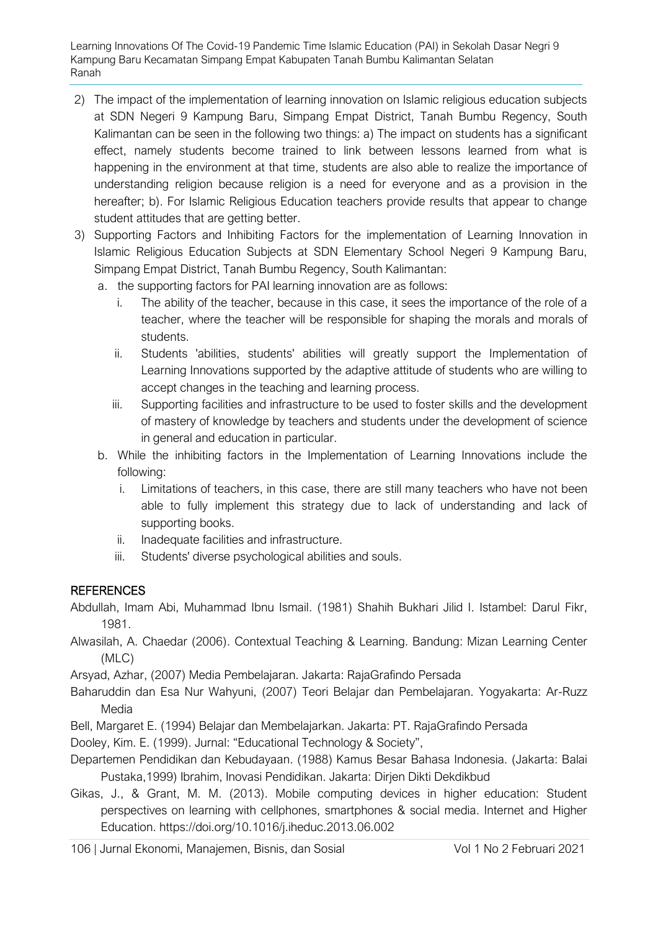- 2) The impact of the implementation of learning innovation on Islamic religious education subjects at SDN Negeri 9 Kampung Baru, Simpang Empat District, Tanah Bumbu Regency, South Kalimantan can be seen in the following two things: a) The impact on students has a significant effect, namely students become trained to link between lessons learned from what is happening in the environment at that time, students are also able to realize the importance of understanding religion because religion is a need for everyone and as a provision in the hereafter; b). For Islamic Religious Education teachers provide results that appear to change student attitudes that are getting better.
- 3) Supporting Factors and Inhibiting Factors for the implementation of Learning Innovation in Islamic Religious Education Subjects at SDN Elementary School Negeri 9 Kampung Baru, Simpang Empat District, Tanah Bumbu Regency, South Kalimantan:
	- a. the supporting factors for PAI learning innovation are as follows:
		- i. The ability of the teacher, because in this case, it sees the importance of the role of a teacher, where the teacher will be responsible for shaping the morals and morals of students.
		- ii. Students 'abilities, students' abilities will greatly support the Implementation of Learning Innovations supported by the adaptive attitude of students who are willing to accept changes in the teaching and learning process.
		- iii. Supporting facilities and infrastructure to be used to foster skills and the development of mastery of knowledge by teachers and students under the development of science in general and education in particular.
	- b. While the inhibiting factors in the Implementation of Learning Innovations include the following:
		- i. Limitations of teachers, in this case, there are still many teachers who have not been able to fully implement this strategy due to lack of understanding and lack of supporting books.
		- ii. Inadequate facilities and infrastructure.
		- iii. Students' diverse psychological abilities and souls.

# **REFERENCES**

Abdullah, Imam Abi, Muhammad Ibnu Ismail. (1981) Shahih Bukhari Jilid I. Istambel: Darul Fikr, 1981.

Alwasilah, A. Chaedar (2006). Contextual Teaching & Learning. Bandung: Mizan Learning Center (MLC)

Arsyad, Azhar, (2007) Media Pembelajaran. Jakarta: RajaGrafindo Persada

Baharuddin dan Esa Nur Wahyuni, (2007) Teori Belajar dan Pembelajaran. Yogyakarta: Ar-Ruzz Media

Bell, Margaret E. (1994) Belajar dan Membelajarkan. Jakarta: PT. RajaGrafindo Persada

Dooley, Kim. E. (1999). Jurnal: "Educational Technology & Society",

- Departemen Pendidikan dan Kebudayaan. (1988) Kamus Besar Bahasa Indonesia. (Jakarta: Balai Pustaka,1999) Ibrahim, Inovasi Pendidikan. Jakarta: Dirjen Dikti Dekdikbud
- Gikas, J., & Grant, M. M. (2013). Mobile computing devices in higher education: Student perspectives on learning with cellphones, smartphones & social media. Internet and Higher Education. https://doi.org/10.1016/j.iheduc.2013.06.002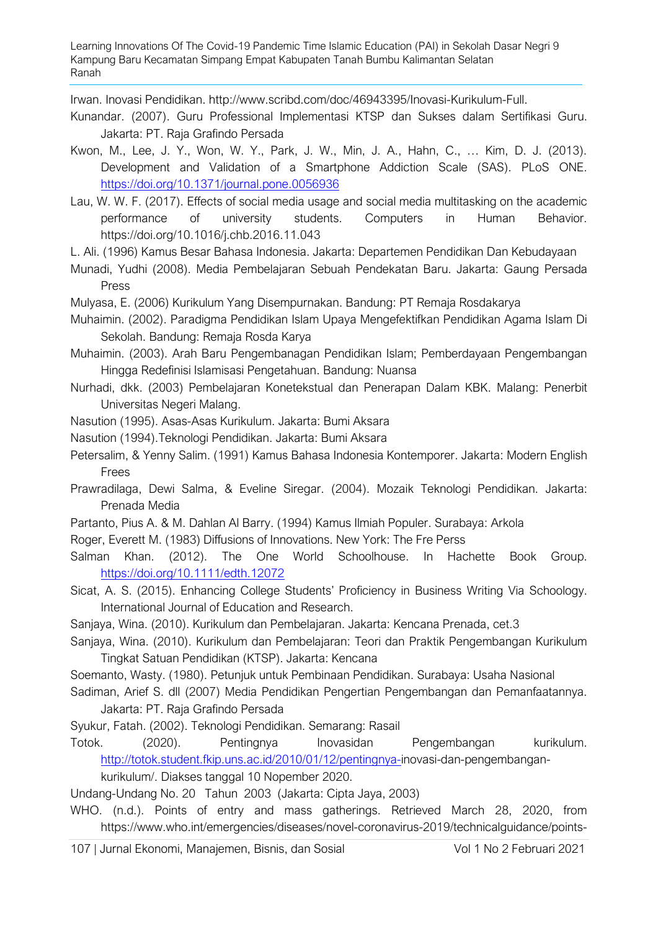Irwan. Inovasi Pendidikan. [http://www.scribd.com/doc/46943395/Inovasi-Kurikulum-Full.](http://www.scribd.com/doc/46943395/Inovasi-Kurikulum-Full) 

- Kunandar. (2007). Guru Professional Implementasi KTSP dan Sukses dalam Sertifikasi Guru. Jakarta: PT. Raja Grafindo Persada
- Kwon, M., Lee, J. Y., Won, W. Y., Park, J. W., Min, J. A., Hahn, C., … Kim, D. J. (2013). Development and Validation of a Smartphone Addiction Scale (SAS). PLoS ONE. <https://doi.org/10.1371/journal.pone.0056936>
- Lau, W. W. F. (2017). Effects of social media usage and social media multitasking on the academic performance of university students. Computers in Human Behavior. https://doi.org/10.1016/j.chb.2016.11.043
- L. Ali. (1996) Kamus Besar Bahasa Indonesia. Jakarta: Departemen Pendidikan Dan Kebudayaan
- Munadi, Yudhi (2008). Media Pembelajaran Sebuah Pendekatan Baru. Jakarta: Gaung Persada Press
- Mulyasa, E. (2006) Kurikulum Yang Disempurnakan. Bandung: PT Remaja Rosdakarya
- Muhaimin. (2002). Paradigma Pendidikan Islam Upaya Mengefektifkan Pendidikan Agama Islam Di Sekolah. Bandung: Remaja Rosda Karya

Muhaimin. (2003). Arah Baru Pengembanagan Pendidikan Islam; Pemberdayaan Pengembangan Hingga Redefinisi Islamisasi Pengetahuan. Bandung: Nuansa

- Nurhadi, dkk. (2003) Pembelajaran Konetekstual dan Penerapan Dalam KBK. Malang: Penerbit Universitas Negeri Malang.
- Nasution (1995). Asas-Asas Kurikulum. Jakarta: Bumi Aksara
- Nasution (1994).Teknologi Pendidikan. Jakarta: Bumi Aksara
- Petersalim, & Yenny Salim. (1991) Kamus Bahasa Indonesia Kontemporer. Jakarta: Modern English Frees
- Prawradilaga, Dewi Salma, & Eveline Siregar. (2004). Mozaik Teknologi Pendidikan. Jakarta: Prenada Media
- Partanto, Pius A. & M. Dahlan Al Barry. (1994) Kamus Ilmiah Populer. Surabaya: Arkola
- Roger, Everett M. (1983) Diffusions of Innovations. New York: The Fre Perss
- Salman Khan. (2012). The One World Schoolhouse. In Hachette Book Group. <https://doi.org/10.1111/edth.12072>
- Sicat, A. S. (2015). Enhancing College Students' Proficiency in Business Writing Via Schoology. International Journal of Education and Research.
- Sanjaya, Wina. (2010). Kurikulum dan Pembelajaran. Jakarta: Kencana Prenada, cet.3
- Sanjaya, Wina. (2010). Kurikulum dan Pembelajaran: Teori dan Praktik Pengembangan Kurikulum Tingkat Satuan Pendidikan (KTSP). Jakarta: Kencana
- Soemanto, Wasty. (1980). Petunjuk untuk Pembinaan Pendidikan. Surabaya: Usaha Nasional
- Sadiman, Arief S. dll (2007) Media Pendidikan Pengertian Pengembangan dan Pemanfaatannya. Jakarta: PT. Raja Grafindo Persada
- Syukur, Fatah. (2002). Teknologi Pendidikan. Semarang: Rasail
- Totok. (2020). Pentingnya Inovasidan Pengembangan kurikulum. [http://totok.student.fkip.uns.ac.id/2010/01/12/pentingnya-i](http://totok.student.fkip.uns.ac.id/2010/01/12/pentingnya-)novasi-dan-pengembangan-

kurikulum/. Diakses tanggal 10 Nopember 2020.

Undang-Undang No. 20 Tahun 2003 (Jakarta: Cipta Jaya, 2003)

WHO. (n.d.). Points of entry and mass gatherings. Retrieved March 28, 2020, from https://www.who.int/emergencies/diseases/novel-coronavirus-2019/technicalguidance/points-